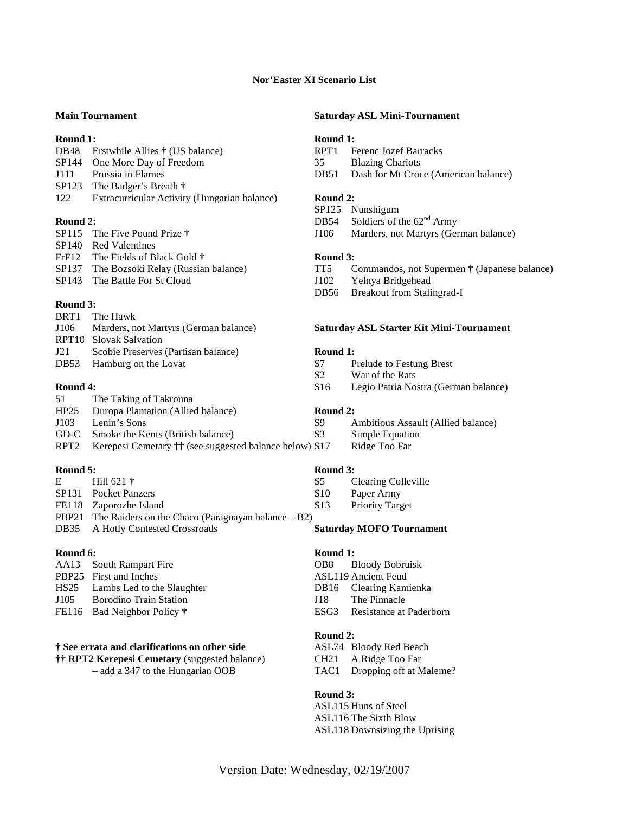## **Nor'Easter XI Scenario List**

| 122  | Extracurricular Activity (Hungarian balance) | Round 2:         |     |
|------|----------------------------------------------|------------------|-----|
|      | $SP123$ The Badger's Breath $\dagger$        |                  |     |
| J111 | Prussia in Flames                            | DB51             | - F |
|      | SP144 One More Day of Freedom                | 35               | B   |
|      | DB48 Erstwhile Allies † (US balance)         | RPT <sub>1</sub> | E   |

| SP115 The Five Pound Prize $\dagger$      |
|-------------------------------------------|
| SP <sub>140</sub> Red Valentines          |
| FrF12 The Fields of Black Gold $\dagger$  |
| SP137 The Bozsoki Relay (Russian balance) |
| SP143 The Battle For St Cloud             |
|                                           |

# **Round 3:**

|     | BRT1 The Hawk                              |
|-----|--------------------------------------------|
|     | J106 Marders, not Martyrs (German balance) |
|     | RPT <sub>10</sub> Slovak Salvation         |
| J21 | Scobie Preserves (Partisan balance)        |
|     | DB53 Hamburg on the Lovat                  |

| 51               | The Taking of Takrouna                                                  |                |   |
|------------------|-------------------------------------------------------------------------|----------------|---|
| HP25             | Duropa Plantation (Allied balance)                                      | Round 2:       |   |
| J103             | Lenin's Sons                                                            | -89            |   |
| GD-C             | Smoke the Kents (British balance)                                       | S <sup>3</sup> |   |
| RPT <sub>2</sub> | Kerepesi Cemetary $\ddagger \ddagger$ (see suggested balance below) S17 |                | R |

| Round $5:$ |                                                                    | Round 3:        |   |
|------------|--------------------------------------------------------------------|-----------------|---|
| $E =$      | Hill 621 $\dagger$                                                 | S5.             |   |
|            | SP131 Pocket Panzers                                               | S <sub>10</sub> | P |
|            | FE118 Zaporozhe Island                                             | S <sub>13</sub> | P |
|            | <b>PBP21</b> The Raiders on the Chaco (Paraguayan balance $- B2$ ) |                 |   |
|            | DB35 A Hotly Contested Crossroads                                  | <b>Saturday</b> |   |
|            |                                                                    |                 |   |

| AA13 South Rampart Fire         |
|---------------------------------|
| PBP25 First and Inches          |
| HS25 Lambs Led to the Slaughter |
| <b>Borodino Train Station</b>   |
| FE116 Bad Neighbor Policy †     |
|                                 |

## **† See errata and clarifications on other side** ASL74 Bloody Red Beach

**†† RPT2 Kerepesi Cemetary** (suggested balance) CH21 A Ridge Too Far – add a 347 to the Hungarian OOB TAC1 Dropping off at Maleme?

# **Main Tournament Saturday ASL Mini-Tournament**

# **Round 1: Round 1:**

- RPT1 Ferenc Jozef Barracks
- 35 Blazing Chariots
- DB51 Dash for Mt Croce (American balance)

- SP125 Nunshigum
- **Round 2:** DB54 Soldiers of the 62<sup>nd</sup> Army
	- J106 Marders, not Martyrs (German balance)

### Round 3:

- TT5 Commandos, not Supermen  $\dagger$  (Japanese balance)
- J102 Yelnya Bridgehead
- DB56 Breakout from Stalingrad-I

### **Saturday ASL Starter Kit Mini-Tournament**

### Round 1:

- S7 Prelude to Festung Brest
- S2 War of the Rats
- **Round 4:** S16 Legio Patria Nostra (German balance)

- Ambitious Assault (Allied balance)
	- Simple Equation
- 7 Ridge Too Far

- **Clearing Colleville**
- S<sub>10</sub> Paper Army
- S13 Priority Target

### **Saturday MOFO Tournament**

### **Round 6:** Round 1:

- OB8 Bloody Bobruisk
- ASL119 Ancient Feud
- DB16 Clearing Kamienka
- J18 The Pinnacle
- ESG3 Resistance at Paderborn

### **Round 2:**

- 
- 
- 

### **Round 3:**

 ASL115 Huns of Steel ASL116 The Sixth Blow ASL118 Downsizing the Uprising